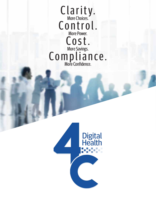Clarity. Control. Cost. Compliance. More Choices. More Power. More Savings. More Confidence.

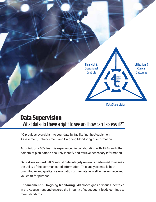

#### "What data do I have a right to see and how can I access it?" **Data Supervision**

4C provides oversight into your data by facilitating the Acquisition, Assessment, Enhancement and On-going Monitoring of information.

**Acquisition** - 4C's team is experienced in collaborating with TPAs and other holders of plan data to securely identify and retrieve necessary information.

**Data Assessment** - 4C's robust data integrity review is performed to assess the utility of the communicated information. This analysis entails both quantitative and qualitative evaluation of the data as well as review received values fit for purpose.

**Enhancement & On-going Monitoring** - 4C closes gaps or issues identified in the Assessment and ensures the integrity of subsequent feeds continue to meet standards.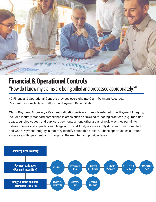

## "How do I know my claims are being billed and processed appropriately?" **Financial & Operational Controls**

4C Financial & Operational Controls provides oversight into Claim Payment Accuracy, Payment Responsibility as well as Plan Payment Reconciliation.

**Claim Payment Accuracy** - Payment Validation review, commonly referred to as Payment Integrity, includes industry standard compliance in areas such as NCCI edits, coding practices (e.g., modifier usage, bundled codes), and duplicate payments among other areas of review as they pertain to industry norms and expectations. Usage and Trend Analyses are slightly different from more black and white Payment Integrity in that they identify actionable outliers. These opportunities surround excessive units, payment, and charges at the member and provider levels.

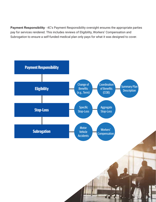**Payment Responsibility** - 4C's Payment Responsibility oversight ensures the appropriate parties pay for services rendered. This includes reviews of Eligibility, Workers' Compensation and Subrogation to ensure a self-funded medical plan only pays for what it was designed to cover.

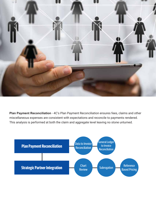

Plan Payment Reconciliation - 4C's Plan Payment Reconciliation ensures fees, claims and other miscellaneous expenses are consistent with expectations and reconcile to payments rendered. This analysis is performed at both the claim and aggregate level leaving no stone unturned.

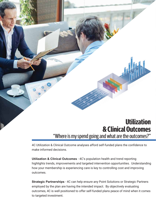

#### "Where is my spend going and what are the outcomes?" **Utilization & Clinical Outcomes**

4C Utilization & Clinical Outcome analyses afford self-funded plans the confidence to make informed decisions.

**Utilization & Clinical Outcomes** - 4C's population health and trend reporting highlights trends, improvements and targeted intervention opportunities. Understanding how your membership is experiencing care is key to controlling cost and improving outcomes.

**Strategic Partnerships** - 4C can help ensure any Point Solutions or Strategic Partners employed by the plan are having the intended impact. By objectively evaluating outcomes, 4C is well positioned to offer self-funded plans peace of mind when it comes to targeted investment.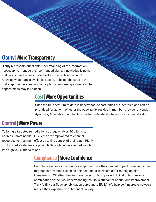## **Clarity | More Transparency**

Clarity represents our clients' understanding of the information necessary to manage their self-funded plans. Knowledge is power, and unobscured access to data is key to effective oversight. Knowing what data is available, absent, or being obscured is the first step to understanding how a plan is performing as well as what opportunities may lay hidden.

#### **Cost | More Opportunities**

Once the full spectrum of data is understood, opportunities are identified and can be prioritized for action. Whether the opportunity resides in member, provider or vendor dynamics, 4C enables our clients to better understand where to focus their efforts.

#### **Control | More Power**

Tailoring a targeted remediation strategy enables 4C clients to address unmet needs. 4C clients are empowered to channel resources to maximum effect by taking control of their data. Highly customized strategies are possible through unprecedented insight into high value interventions.

#### **Compliance | More Confidence**

Compliance ensures the controls employed have the intended impact. Keeping score of targeted interventions, such as point solutions, is essential for managing plan investments. Whether the goals are lower costs, improved clinical outcomes or a combination of the two, understanding results is critical for continuous improvement. Truly fulfill your fiduciary obligation pursuant to ERISA. We help self-insured employers reduce their exposure to substantial liability.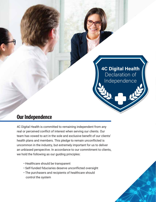

#### **Our Independence**

4C Digital Health is committed to remaining independent from any real or perceived conflict of interest when serving our clients. Our team has vowed to act in the sole and exclusive benefit of our clients' health plans and members. This pledge to remain unconflicted is uncommon in the industry, but extremely important for us to deliver an unbiased perspective. In accordance to our commitment to clients, we hold the following as our guiding principles:

- Healthcare should be transparent
- Self-funded fiduciaries deserve unconflicted oversight
- The purchasers and recipients of healthcare should control the system

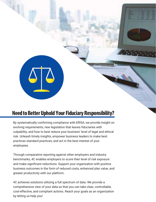

#### **Need to Better Uphold Your Fiduciary Responsibility?**

By systematically confirming compliance with ERISA, we provide insight on evolving requirements, new legislation that leaves fiduciaries with culpability, and how to best reduce your business' level of legal and ethical risk. Unleash timely insights, empower business leaders to make best practices standard practices, and act in the best interest of your employees.

Through comparative reporting against other employers and industry benchmarks, 4C enables employers to score their level of risk exposure and make significant reductions. Support your organization with positive business outcomes in the form of reduced costs, enhanced plan value, and greater productivity with our platform.

4C achieves solutions utilizing a full spectrum of data. We provide a comprehensive view of your data so that you can take clear, controllable, cost-effective, and compliant actions. Reach your goals as an organization by letting us help you!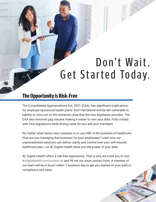## Don't Wait. Get Started Today.

#### **The Opportunity is Risk-Free**

 $0.14,0.3$ 

 $374.33$ 

7453

The Consolidated Appropriations Act, 2021 (CAA), has significant implications for employer-sponsored health plans. Don't fall behind and be left vulnerable to liability or miss out on the immense value that the new legislation provides. The CAA also removes gag clauses making it easier to own your data. Fully comply with CAA regulations while driving value for you and your members.

No matter what sector your company is in, you ARE in the business of healthcare. How are you managing that business for your employees? Learn how our unprecedented solutions can deliver clarity and control over your self-insured healthcare plan. Let 4C Digital Health show you the power of your data.

4C Digital Health offers a risk-free opportunity. That is why we invite you to visit *[4cdigitalhealth.com/contact-us](https://www.4cdigitalhealth.com/contact-us)* and fill out our short contact form. A member of our team will be in touch within 1 business day to get you started on your path to compliance and value.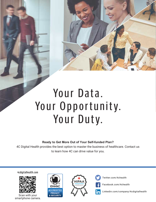# Your Data. Your Opportunity. Your Duty.

**Ready to Get More Out of Your Self-funded Plan?**

4C Digital Health provides the best option to master the business of healthcare. Contact us to learn how 4C can drive value for you.

4cdigitalhealth.com



Scan with your [smartphone camera.](https://www.4cdigitalhealth.com/)





Ĭn

[Twitter.com/4chealth](https://twitter.com/4chealth)

[Facebook.com/4chealth](https://www.facebook.com/4chealth)

[Linkedin.com/company/4cdigitalhealth](https://www.linkedin.com/company/4cdigitalhealth)